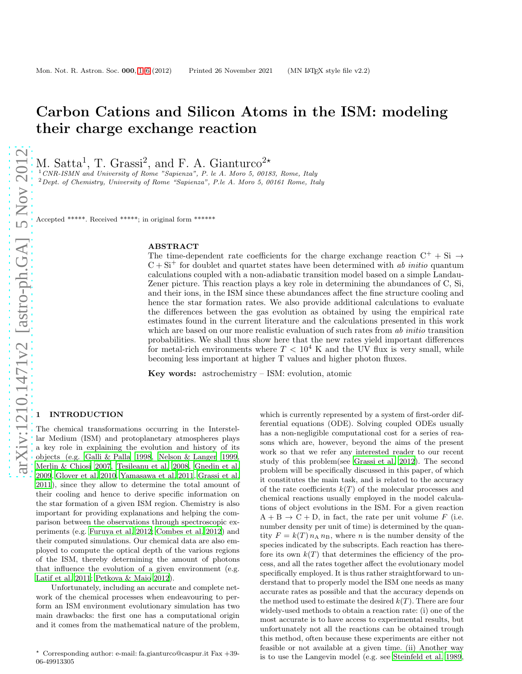# Carbon Cations and Silicon Atoms in the ISM: modeling their charge exchange reaction

M. Satta<sup>1</sup>, T. Grassi<sup>2</sup>, and F. A. Gianturco<sup>2\*</sup>

 $1$  CNR-ISMN and University of Rome "Sapienza", P. le A. Moro 5, 00183, Rome, Italy <sup>2</sup>Dept. of Chemistry, University of Rome "Sapienza", P.le A. Moro 5, 00161 Rome, Italy

Accepted \*\*\*\*\*. Received \*\*\*\*\*; in original form \*\*\*\*\*\*

#### ABSTRACT

The time-dependent rate coefficients for the charge exchange reaction  $C^+ + Si \rightarrow$  $C + Si<sup>+</sup>$  for doublet and quartet states have been determined with ab *initio* quantum calculations coupled with a non-adiabatic transition model based on a simple Landau-Zener picture. This reaction plays a key role in determining the abundances of C, Si, and their ions, in the ISM since these abundances affect the fine structure cooling and hence the star formation rates. We also provide additional calculations to evaluate the differences between the gas evolution as obtained by using the empirical rate estimates found in the current literature and the calculations presented in this work which are based on our more realistic evaluation of such rates from ab initio transition probabilities. We shall thus show here that the new rates yield important differences for metal-rich environments where  $T < 10^4$  K and the UV flux is very small, while becoming less important at higher T values and higher photon fluxes.

Key words: astrochemistry – ISM: evolution, atomic

# <span id="page-0-0"></span>**INTRODUCTION**

The chemical transformations occurring in the Interstellar Medium (ISM) and protoplanetary atmospheres plays a key role in explaining the evolution and history of its objects (e.g. [Galli & Palla 1998](#page-5-0), [Nelson & Langer 1999,](#page-5-1) [Merlin & Chiosi 2007,](#page-5-2) Teşileanu et al. 2008, [Gnedin et al.](#page-5-4) [2009](#page-5-4), [Glover et al. 2010](#page-5-5), [Yamasawa et al. 2011](#page-5-6), [Grassi et al.](#page-5-7) [2011](#page-5-7)), since they allow to determine the total amount of their cooling and hence to derive specific information on the star formation of a given ISM region. Chemistry is also important for providing explanations and helping the comparison between the observations through spectroscopic experiments (e.g. [Furuya et al. 2012;](#page-5-8) [Combes et al. 2012\)](#page-5-9) and their computed simulations. Our chemical data are also employed to compute the optical depth of the various regions of the ISM, thereby determining the amount of photons that influence the evolution of a given environment (e.g. [Latif et al. 2011](#page-5-10); [Petkova & Maio 2012\)](#page-5-11).

Unfortunately, including an accurate and complete network of the chemical processes when endeavouring to perform an ISM environment evolutionary simulation has two main drawbacks: the first one has a computational origin and it comes from the mathematical nature of the problem,

which is currently represented by a system of first-order differential equations (ODE). Solving coupled ODEs usually has a non-negligible computational cost for a series of reasons which are, however, beyond the aims of the present work so that we refer any interested reader to our recent study of this problem(see [Grassi et al. 2012\)](#page-5-12). The second problem will be specifically discussed in this paper, of which it constitutes the main task, and is related to the accuracy of the rate coefficients  $k(T)$  of the molecular processes and chemical reactions usually employed in the model calculations of object evolutions in the ISM. For a given reaction  $A + B \rightarrow C + D$ , in fact, the rate per unit volume F (i.e. number density per unit of time) is determined by the quantity  $F = k(T) n_A n_B$ , where n is the number density of the species indicated by the subscripts. Each reaction has therefore its own  $k(T)$  that determines the efficiency of the process, and all the rates together affect the evolutionary model specifically employed. It is thus rather straightforward to understand that to properly model the ISM one needs as many accurate rates as possible and that the accuracy depends on the method used to estimate the desired  $k(T)$ . There are four widely-used methods to obtain a reaction rate: (i) one of the most accurate is to have access to experimental results, but unfortunately not all the reactions can be obtained trough this method, often because these experiments are either not feasible or not available at a given time. (ii) Another way is to use the Langevin model (e.g. see [Steinfeld et al. 1989](#page-5-13),

 $\star$  Corresponding author: e-mail: fa.gianturco@caspur.it Fax  $+39$ -06-49913305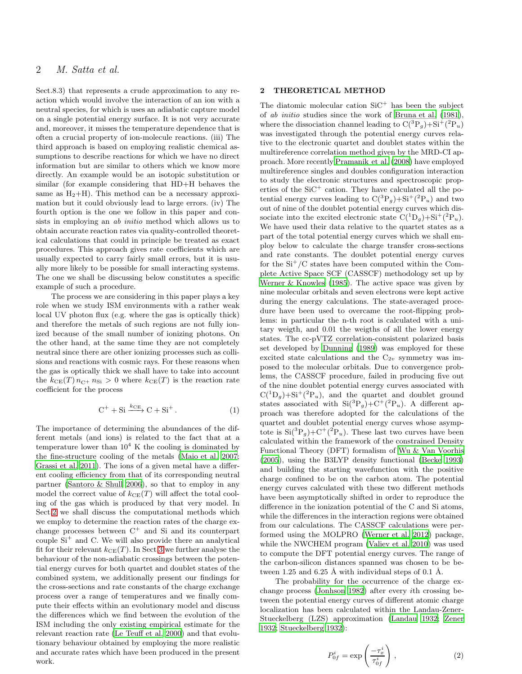# 2 M. Satta et al.

Sect.8.3) that represents a crude approximation to any reaction which would involve the interaction of an ion with a neutral species, for which is uses an adiabatic capture model on a single potential energy surface. It is not very accurate and, moreover, it misses the temperature dependence that is often a crucial property of ion-molecule reactions. (iii) The third approach is based on employing realistic chemical assumptions to describe reactions for which we have no direct information but are similar to others which we know more directly. An example would be an isotopic substitution or similar (for example considering that HD+H behaves the same as  $H_2+H$ ). This method can be a necessary approximation but it could obviously lead to large errors. (iv) The fourth option is the one we follow in this paper and consists in employing an *ab initio* method which allows us to obtain accurate reaction rates via quality-controlled theoretical calculations that could in principle be treated as exact procedures. This approach gives rate coefficients which are usually expected to carry fairly small errors, but it is usually more likely to be possible for small interacting systems. The one we shall be discussing below constitutes a specific example of such a procedure.

The process we are considering in this paper plays a key role when we study ISM environments with a rather weak local UV photon flux (e.g. where the gas is optically thick) and therefore the metals of such regions are not fully ionized because of the small number of ionizing photons. On the other hand, at the same time they are not completely neutral since there are other ionizing processes such as collisions and reactions with cosmic rays. For these reasons when the gas is optically thick we shall have to take into account the  $k_{CE}(T) n_{C^+} n_{Si} > 0$  where  $k_{CE}(T)$  is the reaction rate coefficient for the process

$$
C^+ + Si \xrightarrow{k_{CE}} C + Si^+ \,. \tag{1}
$$

The importance of determining the abundances of the different metals (and ions) is related to the fact that at a temperature lower than  $10^4$  K the cooling is dominated by the fine-structure cooling of the metals [\(Maio et al. 2007;](#page-5-14) [Grassi et al. 2011](#page-5-7)). The ions of a given metal have a different cooling efficiency from that of its corresponding neutral partner [\(Santoro & Shull 2006](#page-5-15)), so that to employ in any model the correct value of  $k_{CE}(T)$  will affect the total cooling of the gas which is produced by that very model. In Sect[.2](#page-1-0) we shall discuss the computational methods which we employ to determine the reaction rates of the charge exchange processes between  $C^+$  and Si and its counterpart couple  $Si<sup>+</sup>$  and C. We will also provide there an analytical fit for their relevant  $k_{CE}(T)$ . In Sect[.3](#page-2-0) we further analyse the behaviour of the non-adiabatic crossings between the potential energy curves for both quartet and doublet states of the combined system, we additionally present our findings for the cross-sections and rate constants of the charge exchange process over a range of temperatures and we finally compute their effects within an evolutionary model and discuss the differences which we find between the evolution of the ISM including the only existing empirical estimate for the relevant reaction rate [\(Le Teuff et al. 2000\)](#page-5-16) and that evolutionary behaviour obtained by employing the more realistic and accurate rates which have been produced in the present work.

# <span id="page-1-0"></span>2 THEORETICAL METHOD

The diatomic molecular cation  $SiC^+$  has been the subject of ab initio studies since the work of [Bruna et al. \(1981](#page-5-17)), where the dissociation channel leading to  $C({}^{3}P_g) + Si^+({}^{2}P_u)$ was investigated through the potential energy curves relative to the electronic quartet and doublet states within the multireference correlation method given by the MRD-CI approach. More recently [Pramanik et al. \(2008](#page-5-18)) have employed multireference singles and doubles configuration interaction to study the electronic structures and spectroscopic properties of the  $SiC^+$  cation. They have calculated all the potential energy curves leading to  $C({}^{3}P_g)+Si^{+}({}^{2}P_u)$  and two out of nine of the doublet potential energy curves which dissociate into the excited electronic state  $C({}^{1}D_g)+Si^{+}({}^{2}P_u)$ . We have used their data relative to the quartet states as a part of the total potential energy curves which we shall employ below to calculate the charge transfer cross-sections and rate constants. The doublet potential energy curves for the  $Si<sup>+</sup>/C$  states have been computed within the Complete Active Space SCF (CASSCF) methodology set up by [Werner & Knowles \(1985](#page-5-19)). The active space was given by nine molecular orbitals and seven electrons were kept active during the energy calculations. The state-averaged procedure have been used to overcame the root-flipping problems: in particular the n-th root is calculated with a unitary weigth, and 0.01 the weigths of all the lower energy states. The cc-pVTZ correlation-consistent polarized basis set developed by [Dunning \(1989\)](#page-5-20) was employed for these excited state calculations and the  $C_{2v}$  symmetry was imposed to the molecular orbitals. Due to convergence problems, the CASSCF procedure, failed in producing five out of the nine doublet potential energy curves associated with  $C(^{1}D_g)+Si^{+}(^{2}P_u)$ , and the quartet and doublet ground states associated with  $\text{Si}({}^{3}P_g) + \text{C}^{+}({}^{2}P_u)$ . A different approach was therefore adopted for the calculations of the quartet and doublet potential energy curves whose asymptote is  $\text{Si}({}^{3}P_g) + C^+({}^{2}P_u)$ . These last two curves have been calculated within the framework of the constrained Density Functional Theory (DFT) formalism of [Wu & Van Voorhis](#page-5-21) [\(2005](#page-5-21)), using the B3LYP density functional [\(Becke 1993](#page-5-22)) and building the starting wavefunction with the positive charge confined to be on the carbon atom. The potential energy curves calculated with these two different methods have been asymptotically shifted in order to reproduce the difference in the ionization potential of the C and Si atoms, while the differences in the interaction regions were obtained from our calculations. The CASSCF calculations were performed using the MOLPRO [\(Werner et al. 2012\)](#page-5-23) package, while the NWCHEM program [\(Valiev et al. 2010](#page-5-24)) was used to compute the DFT potential energy curves. The range of the carbon-silicon distances spanned was chosen to be between 1.25 and  $6.25$  Å with individual steps of 0.1 Å.

The probability for the occurrence of the charge exchange process [\(Jonhson 1982\)](#page-5-25) after every ith crossing between the potential energy curves of different atomic charge localization has been calculated within the Landau-Zener-Stueckelberg (LZS) approximation [\(Landau 1932](#page-5-26); [Zener](#page-5-27) [1932](#page-5-27); [Stueckelberg 1932](#page-5-28)):

$$
P_{0f}^{i} = \exp\left(\frac{-\tau_x^{i}}{\tau_{0f}^{i}}\right),\qquad(2)
$$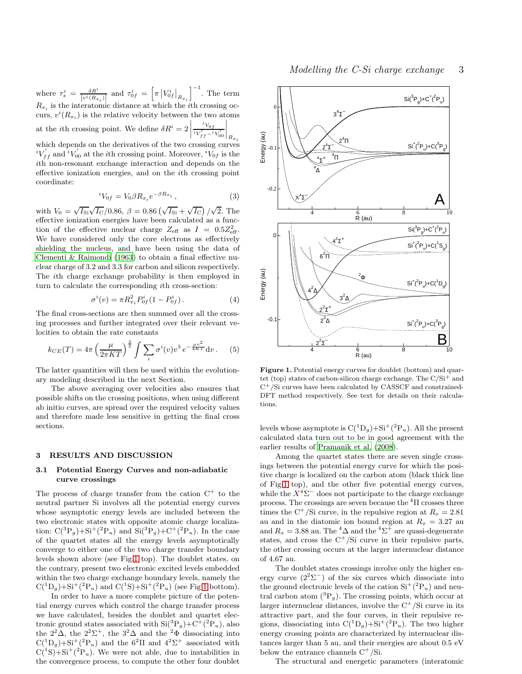where  $\tau_x^i = \frac{\delta R^i}{\ln i \rho}$  $\frac{\delta R^i}{|v^i(R_{x_i})|}$  and  $\tau_{0f}^i = \left[\pi \left|V_{0f}^i\right|_{R_{x_i}}\right]$  $\Big]^{-1}$ . The term  $R_{x_i}$  is the interatomic distance at which the *i*<sup>th</sup> crossing occurs,  $v^{i}(R_{x_i})$  is the relative velocity between the two atoms at the *i*th crossing point. We define  $\delta R^i = 2$  $i_{V_{0f}}$  $iV'_{ff} - iV'_{00}$  $\Bigg|_{R_{x_i}}$ which depends on the derivatives of the two crossing curves  $i_{V_{ff}}^{i}$  and  $i_{V_{00}}^{i}$  at the *i*th crossing point. Moreover,  $i_{V_{0f}}$  is the ith non-resonant exchange interaction and depends on the effective ionization energies, and on the ith crossing point coordinate:

$$
{}^{i}V_{0f} = V_0 \beta R_{x_i} e^{-\beta R_{x_i}}, \qquad (3)
$$

with  $V_0 = \sqrt{I_{\rm Si}}\sqrt{I_{\rm C}}/0.86$ ,  $\beta = 0.86 \left(\sqrt{I_{\rm Si}} + \sqrt{I_{\rm C}}\right)/\sqrt{2}$ . The effective ionization energies have been calculated as a function of the effective nuclear charge  $Z_{\text{eff}}$  as  $I = 0.5 Z_{\text{eff}}^2$ . We have considered only the core electrons as effectively shielding the nucleus, and have been using the data of [Clementi & Raimondi \(1963](#page-5-29)) to obtain a final effective nuclear charge of 3.2 and 3.3 for carbon and silicon respectively. The ith charge exchange probability is then employed in turn to calculate the corresponding ith cross-section:

<span id="page-2-2"></span>
$$
\sigma^{i}(v) = \pi R_{x_i}^{2} P_{0f}^{i} (1 - P_{0f}^{i}). \qquad (4)
$$

The final cross-sections are then summed over all the crossing processes and further integrated over their relevant velocities to obtain the rate constants

<span id="page-2-3"></span>
$$
k_{CE}(T) = 4\pi \left(\frac{\mu}{2\pi KT}\right)^{\frac{3}{2}} \int \sum_{i} \sigma^{i}(v) v^{3} e^{-\frac{\mu v^{2}}{4KT}} dv.
$$
 (5)

The latter quantities will then be used within the evolutionary modeling described in the next Section.

The above averaging over velocities also ensures that possible shifts on the crossing positions, when using different ab initio curves, are spread over the required velocity values and therefore made less sensitive in getting the final cross sections.

#### <span id="page-2-0"></span>3 RESULTS AND DISCUSSION

### 3.1 Potential Energy Curves and non-adiabatic curve crossings

The process of charge transfer from the cation  $C^+$  to the neutral partner Si involves all the potential energy curves whose asymptotic energy levels are included between the two electronic states with opposite atomic charge localization:  $C(^{3}P_g)+Si^{+}(^{2}P_u)$  and  $Si(^{3}P_g)+C^{+}(^{2}P_u)$ . In the case of the quartet states all the energy levels asymptotically converge to either one of the two charge transfer boundary levels shown above (see Fig[.1](#page-2-1) top). The doublet states, on the contrary, present two electronic excited levels embedded within the two charge exchange boundary levels, namely the  $C(^{1}D_g)+Si^{+}(^{2}P_u)$  and  $C(^{1}S)+Si^{+}(^{2}P_u)$  (see Fig[.1](#page-2-1) bottom).

In order to have a more complete picture of the potential energy curves which control the charge transfer process we have calculated, besides the doublet and quartet electronic ground states associated with  $\text{Si}({}^{3}P_g) + \text{C}^{+}({}^{2}P_u)$ , also the  $2^2\Delta$ , the  $2^2\Sigma^+$ , the  $3^2\Delta$  and the  $^2\Phi$  dissociating into  $C(^{1}D_g)+Si^{+}(^{2}P_u)$  and the  $6^{2}\Pi$  and  $4^{2}\Sigma^{+}$  associated with  $C(^{1}S) + Si^{+}(^{2}P_{u})$ . We were not able, due to instabilities in the convergence process, to compute the other four doublet



<span id="page-2-1"></span>Figure 1. Potential energy curves for doublet (bottom) and quartet (top) states of carbon-silicon charge exchange. The  $C/Si^+$  and C+/Si curves have been calculated by CASSCF and constrained-DFT method respectively. See text for details on their calculations.

levels whose asymptote is  $C({}^1D_g)+Si^+({}^2P_u)$ . All the present calculated data turn out to be in good agreement with the earlier results of [Pramanik et al. \(2008](#page-5-18)).

Among the quartet states there are seven single crossings between the potential energy curve for which the positive charge is localized on the carbon atom (black thick line of Fig[.1](#page-2-1) top), and the other five potential energy curves, while the  $X^4\Sigma^-$  does not participate to the charge exchange process. The crossings are seven because the  ${}^{4}$  $\Pi$  crosses three times the C<sup>+</sup>/Si curve, in the repulsive region at  $R_x = 2.81$ au and in the diatomic ion bound region at  $R_x = 3.27$  au and  $R_x = 3.88$  au. The  ${}^4\Delta$  and the  ${}^4\Sigma^+$  are quasi-degenerate states, and cross the  $C^+/Si$  curve in their repulsive parts, the other crossing occurs at the larger internuclear distance of 4.67 au.

The doublet states crossings involve only the higher energy curve  $(2^2\Sigma^-)$  of the six curves which dissociate into the ground electronic levels of the cation  $\mathrm{Si}^+(^2P_u)$  and neutral carbon atom  $({}^{3}P_{q})$ . The crossing points, which occur at larger internuclear distances, involve the  $C^+/Si$  curve in its attractive part, and the four curves, in their repulsive regions, dissociating into  $C({}^1D_g)+Si^+({}^2P_u)$ . The two higher energy crossing points are characterized by internuclear distances larger than 5 au, and their energies are about 0.5 eV below the entrance channels  $C^+/Si$ .

The structural and energetic parameters (interatomic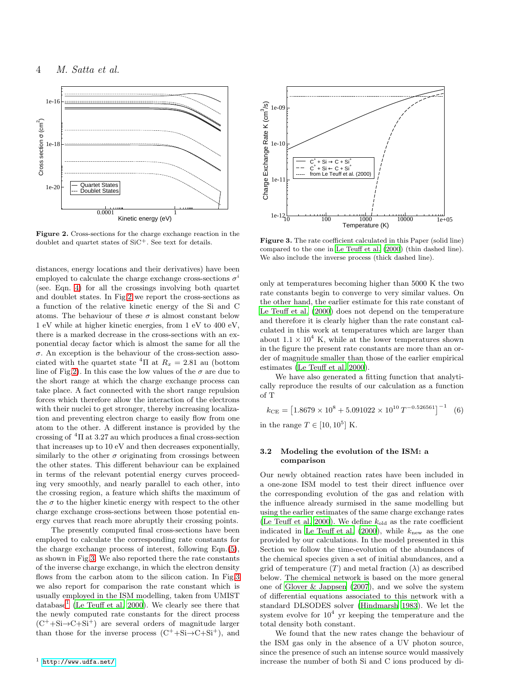

<span id="page-3-0"></span>Figure 2. Cross-sections for the charge exchange reaction in the doublet and quartet states of SiC+. See text for details.

distances, energy locations and their derivatives) have been employed to calculate the charge exchange cross-sections  $\sigma^i$ (see. Eqn. [4\)](#page-2-2) for all the crossings involving both quartet and doublet states. In Fig[.2](#page-3-0) we report the cross-sections as a function of the relative kinetic energy of the Si and C atoms. The behaviour of these  $\sigma$  is almost constant below 1 eV while at higher kinetic energies, from 1 eV to 400 eV, there is a marked decrease in the cross-sections with an exponential decay factor which is almost the same for all the  $\sigma$ . An exception is the behaviour of the cross-section associated with the quartet state  ${}^{4}$ Π at  $R_x = 2.81$  au (bottom line of Fig[.2\)](#page-3-0). In this case the low values of the  $\sigma$  are due to the short range at which the charge exchange process can take place. A fact connected with the short range repulsion forces which therefore allow the interaction of the electrons with their nuclei to get stronger, thereby increasing localization and preventing electron charge to easily flow from one atom to the other. A different instance is provided by the crossing of  ${}^{4}\Pi$  at 3.27 au which produces a final cross-section that increases up to 10 eV and then decreases exponentially, similarly to the other  $\sigma$  originating from crossings between the other states. This different behaviour can be explained in terms of the relevant potential energy curves proceeding very smoothly, and nearly parallel to each other, into the crossing region, a feature which shifts the maximum of the  $\sigma$  to the higher kinetic energy with respect to the other charge exchange cross-sections between those potential energy curves that reach more abruptly their crossing points.

<span id="page-3-2"></span>The presently computed final cross-sections have been employed to calculate the corresponding rate constants for the charge exchange process of interest, following Eqn.[\(5\)](#page-2-3), as shown in Fig[.3.](#page-3-1) We also reported there the rate constants of the inverse charge exchange, in which the electron density flows from the carbon atom to the silicon cation. In Fig[.3](#page-3-1) we also report for comparison the rate constant which is usually employed in the ISM modelling, taken from UMIST database<sup>[1](#page-3-2)</sup> [\(Le Teuff et al. 2000](#page-5-16)). We clearly see there that the newly computed rate constants for the direct process  $(C^+$ +Si $\rightarrow C+Si^+$ ) are several orders of magnitude larger than those for the inverse process  $(C^+ + Si \rightarrow C + Si^+)$ , and



<span id="page-3-1"></span>Figure 3. The rate coefficient calculated in this Paper (solid line) compared to the one in [Le Teuff et al. \(2000\)](#page-5-16) (thin dashed line). We also include the inverse process (thick dashed line).

only at temperatures becoming higher than 5000 K the two rate constants begin to converge to very similar values. On the other hand, the earlier estimate for this rate constant of [Le Teuff et al. \(2000](#page-5-16)) does not depend on the temperature and therefore it is clearly higher than the rate constant calculated in this work at temperatures which are larger than about  $1.1 \times 10^4$  K, while at the lower temperatures shown in the figure the present rate constants are more than an order of magnitude smaller than those of the earlier empirical estimates [\(Le Teuff et al. 2000\)](#page-5-16).

We have also generated a fitting function that analytically reproduce the results of our calculation as a function of T

$$
k_{\text{CE}} = \left[1.8679 \times 10^8 + 5.091022 \times 10^{10} \, T^{-0.526561} \right]^{-1} \tag{6}
$$

in the range  $T \in [10, 10^5]$  K.

## 3.2 Modeling the evolution of the ISM: a comparison

Our newly obtained reaction rates have been included in a one-zone ISM model to test their direct influence over the corresponding evolution of the gas and relation with the influence already surmised in the same modelling but using the earlier estimates of the same charge exchange rates [\(Le Teuff et al. 2000](#page-5-16)). We define  $k_{old}$  as the rate coefficient indicated in Le Teuff et al.  $(2000)$ , while  $k<sub>new</sub>$  as the one provided by our calculations. In the model presented in this Section we follow the time-evolution of the abundances of the chemical species given a set of initial abundances, and a grid of temperature  $(T)$  and metal fraction  $(\lambda)$  as described below. The chemical network is based on the more general one of [Glover & Jappsen \(2007\)](#page-5-30), and we solve the system of differential equations associated to this network with a standard DLSODES solver [\(Hindmarsh 1983\)](#page-5-31). We let the system evolve for  $10^4$  yr keeping the temperature and the total density both constant.

We found that the new rates change the behaviour of the ISM gas only in the absence of a UV photon source, since the presence of such an intense source would massively increase the number of both Si and C ions produced by di-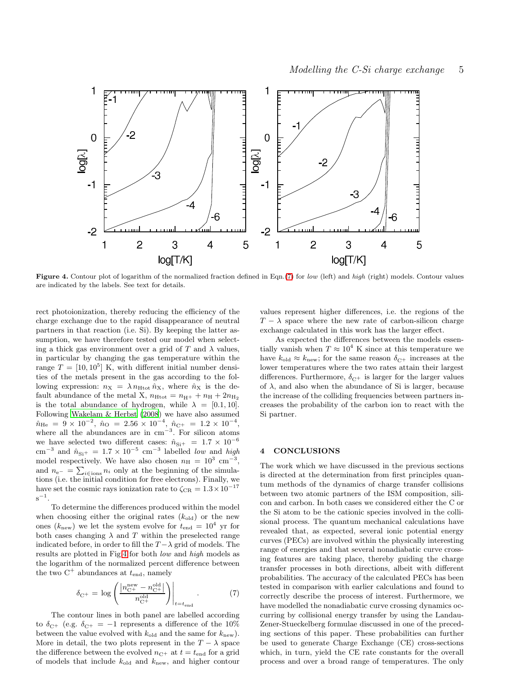

<span id="page-4-1"></span>Figure 4. Contour plot of logarithm of the normalized fraction defined in Eqn.[\(7\)](#page-4-0) for low (left) and high (right) models. Contour values are indicated by the labels. See text for details.

rect photoionization, thereby reducing the efficiency of the charge exchange due to the rapid disappearance of neutral partners in that reaction (i.e. Si). By keeping the latter assumption, we have therefore tested our model when selecting a thick gas environment over a grid of T and  $\lambda$  values, in particular by changing the gas temperature within the range  $T = [10, 10^5]$  K, with different initial number densities of the metals present in the gas according to the following expression:  $n_X = \lambda n_{\text{Htot}} \hat{n}_X$ , where  $\hat{n}_X$  is the default abundance of the metal X,  $n_{\text{Htot}} = n_{\text{H}+} + n_{\text{H}} + 2n_{\text{H}_2}$ is the total abundance of hydrogen, while  $\lambda = [0.1, 10]$ . Following [Wakelam & Herbst \(2008](#page-5-32)) we have also assumed  $\hat{n}_{\text{He}} = 9 \times 10^{-2}, \ \hat{n}_{\text{O}} = 2.56 \times 10^{-4}, \ \hat{n}_{\text{C}+} = 1.2 \times 10^{-4},$ where all the abundances are in cm<sup>−</sup><sup>3</sup> . For silicon atoms we have selected two different cases:  $\hat{n}_{\text{Si}+} = 1.7 \times 10^{-6}$ cm<sup>-3</sup> and  $\hat{n}_{\text{Si}+} = 1.7 \times 10^{-5}$  cm<sup>-3</sup> labelled low and high model respectively. We have also chosen  $n_{\rm H} = 10^3$  cm<sup>-3</sup>, and  $n_{e^{-}} = \sum_{i \in \text{ions}} n_i$  only at the beginning of the simulations (i.e. the initial condition for free electrons). Finally, we have set the cosmic rays ionization rate to  $\zeta_{CR} = 1.3 \times 10^{-17}$  $s^{-1}$ .

To determine the differences produced within the model when choosing either the original rates  $(k_{old})$  or the new ones ( $k_{\text{new}}$ ) we let the system evolve for  $t_{\text{end}} = 10^4$  yr for both cases changing  $\lambda$  and T within the preselected range indicated before, in order to fill the  $T - \lambda$  grid of models. The results are plotted in Fig[.4](#page-4-1) for both low and high models as the logarithm of the normalized percent difference between the two  $C^+$  abundances at  $t_{end}$ , namely

<span id="page-4-0"></span>
$$
\delta_{\rm C^{+}} = \log \left( \frac{|n_{\rm C^{+}}^{\rm new} - n_{\rm C^{+}}^{\rm old}|}{n_{\rm C^{+}}^{\rm old}} \right) \Big|_{t=t_{\rm end}}.
$$
 (7)

The contour lines in both panel are labelled according to  $\delta_{\text{C}^+}$  (e.g.  $\delta_{\text{C}^+} = -1$  represents a difference of the 10% between the value evolved with  $k_{old}$  and the same for  $k_{new}$ ). More in detail, the two plots represent in the  $T - \lambda$  space the difference between the evolved  $n_{\text{C+}}$  at  $t = t_{\text{end}}$  for a grid of models that include  $k_{old}$  and  $k_{new}$ , and higher contour

values represent higher differences, i.e. the regions of the  $T - \lambda$  space where the new rate of carbon-silicon charge exchange calculated in this work has the larger effect.

As expected the differences between the models essentially vanish when  $T \approx 10^4$  K since at this temperature we have  $k_{\text{old}} \approx k_{\text{new}}$ ; for the same reason  $\delta_{\text{C+}}$  increases at the lower temperatures where the two rates attain their largest differences. Furthermore,  $\delta_{\text{C+}}$  is larger for the larger values of  $\lambda$ , and also when the abundance of Si is larger, because the increase of the colliding frequencies between partners increases the probability of the carbon ion to react with the Si partner.

#### 4 CONCLUSIONS

The work which we have discussed in the previous sections is directed at the determination from first principles quantum methods of the dynamics of charge transfer collisions between two atomic partners of the ISM composition, silicon and carbon. In both cases we considered either the C or the Si atom to be the cationic species involved in the collisional process. The quantum mechanical calculations have revealed that, as expected, several ionic potential energy curves (PECs) are involved within the physically interesting range of energies and that several nonadiabatic curve crossing features are taking place, thereby guiding the charge transfer processes in both directions, albeit with different probabilities. The accuracy of the calculated PECs has been tested in comparison with earlier calculations and found to correctly describe the process of interest. Furthermore, we have modelled the nonadiabatic curve crossing dynamics occurring by collisional energy transfer by using the Landau-Zener-Stueckelberg formulae discussed in one of the preceding sections of this paper. These probabilities can further be used to generate Charge Exchange (CE) cross-sections which, in turn, yield the CE rate constants for the overall process and over a broad range of temperatures. The only